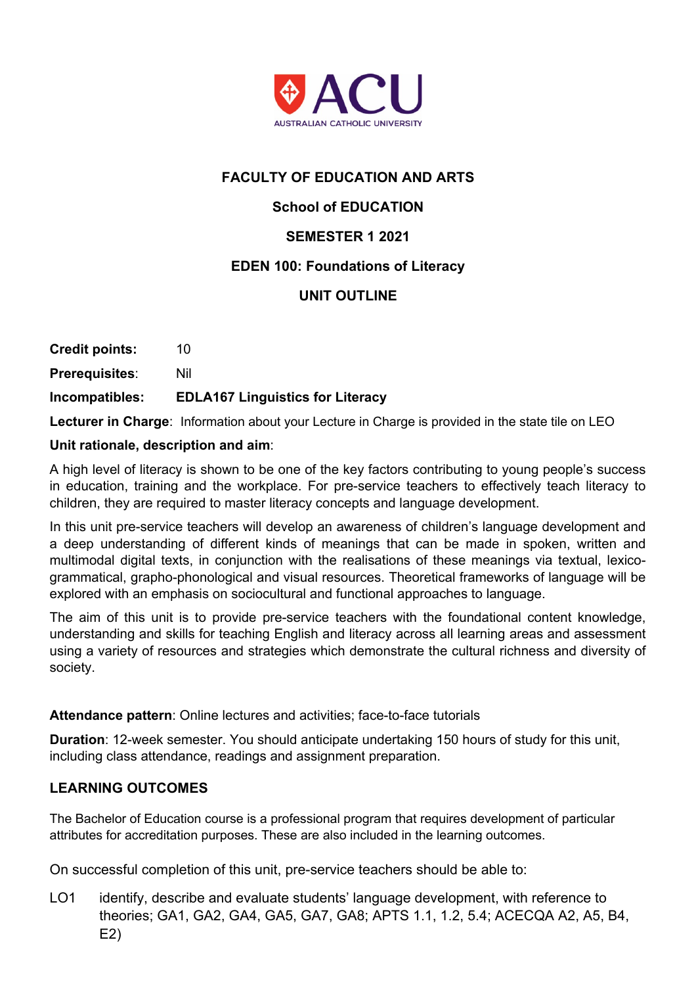

# **FACULTY OF EDUCATION AND ARTS**

# **School of EDUCATION**

# **SEMESTER 1 2021**

## **EDEN 100: Foundations of Literacy**

# **UNIT OUTLINE**

|                       | La africa de Aleman Lifenn dieu de citato de la fine in Aleman |
|-----------------------|----------------------------------------------------------------|
| Incompatibles:        | <b>EDLA167 Linguistics for Literacy</b>                        |
| <b>Prerequisites:</b> | Nil                                                            |
| <b>Credit points:</b> | 10                                                             |

**Lecturer in Charge**: Information about your Lecture in Charge is provided in the state tile on LEO

#### **Unit rationale, description and aim**:

A high level of literacy is shown to be one of the key factors contributing to young people's success in education, training and the workplace. For pre-service teachers to effectively teach literacy to children, they are required to master literacy concepts and language development.

In this unit pre-service teachers will develop an awareness of children's language development and a deep understanding of different kinds of meanings that can be made in spoken, written and multimodal digital texts, in conjunction with the realisations of these meanings via textual, lexicogrammatical, grapho-phonological and visual resources. Theoretical frameworks of language will be explored with an emphasis on sociocultural and functional approaches to language.

The aim of this unit is to provide pre-service teachers with the foundational content knowledge, understanding and skills for teaching English and literacy across all learning areas and assessment using a variety of resources and strategies which demonstrate the cultural richness and diversity of society.

#### **Attendance pattern**: Online lectures and activities; face-to-face tutorials

**Duration**: 12-week semester. You should anticipate undertaking 150 hours of study for this unit, including class attendance, readings and assignment preparation.

## **LEARNING OUTCOMES**

The Bachelor of Education course is a professional program that requires development of particular attributes for accreditation purposes. These are also included in the learning outcomes.

On successful completion of this unit, pre-service teachers should be able to:

LO1 identify, describe and evaluate students' language development, with reference to theories; GA1, GA2, GA4, GA5, GA7, GA8; APTS 1.1, 1.2, 5.4; ACECQA A2, A5, B4, E2)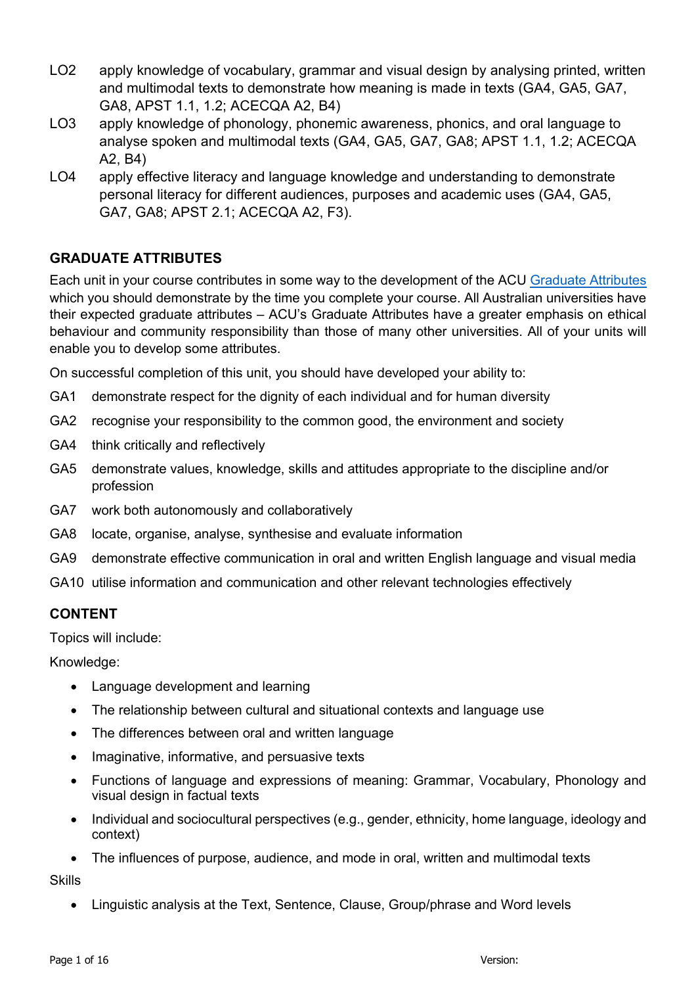- LO2 apply knowledge of vocabulary, grammar and visual design by analysing printed, written and multimodal texts to demonstrate how meaning is made in texts (GA4, GA5, GA7, GA8, APST 1.1, 1.2; ACECQA A2, B4)
- LO3 apply knowledge of phonology, phonemic awareness, phonics, and oral language to analyse spoken and multimodal texts (GA4, GA5, GA7, GA8; APST 1.1, 1.2; ACECQA A2, B4)
- LO4 apply effective literacy and language knowledge and understanding to demonstrate personal literacy for different audiences, purposes and academic uses (GA4, GA5, GA7, GA8; APST 2.1; ACECQA A2, F3).

# **GRADUATE ATTRIBUTES**

Each unit in your course contributes in some way to the development of the ACU Graduate Attributes which you should demonstrate by the time you complete your course. All Australian universities have their expected graduate attributes – ACU's Graduate Attributes have a greater emphasis on ethical behaviour and community responsibility than those of many other universities. All of your units will enable you to develop some attributes.

On successful completion of this unit, you should have developed your ability to:

- GA1 demonstrate respect for the dignity of each individual and for human diversity
- GA2 recognise your responsibility to the common good, the environment and society
- GA4 think critically and reflectively
- GA5 demonstrate values, knowledge, skills and attitudes appropriate to the discipline and/or profession
- GA7 work both autonomously and collaboratively
- GA8 locate, organise, analyse, synthesise and evaluate information
- GA9 demonstrate effective communication in oral and written English language and visual media
- GA10 utilise information and communication and other relevant technologies effectively

#### **CONTENT**

Topics will include:

Knowledge:

- Language development and learning
- The relationship between cultural and situational contexts and language use
- The differences between oral and written language
- Imaginative, informative, and persuasive texts
- Functions of language and expressions of meaning: Grammar, Vocabulary, Phonology and visual design in factual texts
- Individual and sociocultural perspectives (e.g., gender, ethnicity, home language, ideology and context)
- The influences of purpose, audience, and mode in oral, written and multimodal texts

**Skills** 

• Linguistic analysis at the Text, Sentence, Clause, Group/phrase and Word levels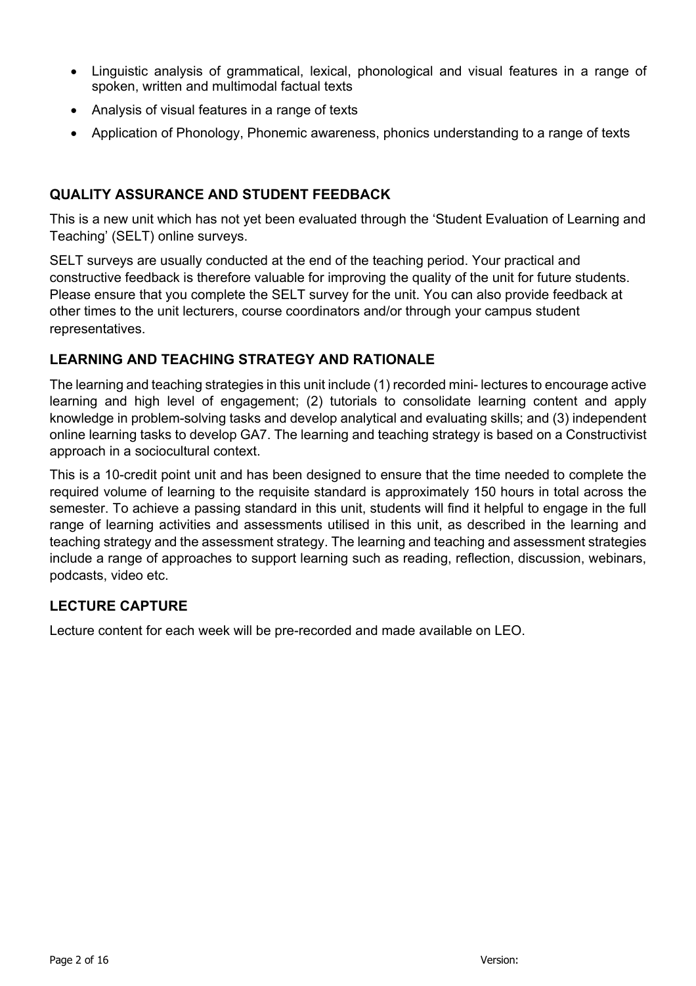- Linguistic analysis of grammatical, lexical, phonological and visual features in a range of spoken, written and multimodal factual texts
- Analysis of visual features in a range of texts
- Application of Phonology, Phonemic awareness, phonics understanding to a range of texts

## **QUALITY ASSURANCE AND STUDENT FEEDBACK**

This is a new unit which has not yet been evaluated through the 'Student Evaluation of Learning and Teaching' (SELT) online surveys.

SELT surveys are usually conducted at the end of the teaching period. Your practical and constructive feedback is therefore valuable for improving the quality of the unit for future students. Please ensure that you complete the SELT survey for the unit. You can also provide feedback at other times to the unit lecturers, course coordinators and/or through your campus student representatives.

# **LEARNING AND TEACHING STRATEGY AND RATIONALE**

The learning and teaching strategies in this unit include (1) recorded mini- lectures to encourage active learning and high level of engagement; (2) tutorials to consolidate learning content and apply knowledge in problem-solving tasks and develop analytical and evaluating skills; and (3) independent online learning tasks to develop GA7. The learning and teaching strategy is based on a Constructivist approach in a sociocultural context.

This is a 10-credit point unit and has been designed to ensure that the time needed to complete the required volume of learning to the requisite standard is approximately 150 hours in total across the semester. To achieve a passing standard in this unit, students will find it helpful to engage in the full range of learning activities and assessments utilised in this unit, as described in the learning and teaching strategy and the assessment strategy. The learning and teaching and assessment strategies include a range of approaches to support learning such as reading, reflection, discussion, webinars, podcasts, video etc.

# **LECTURE CAPTURE**

Lecture content for each week will be pre-recorded and made available on LEO.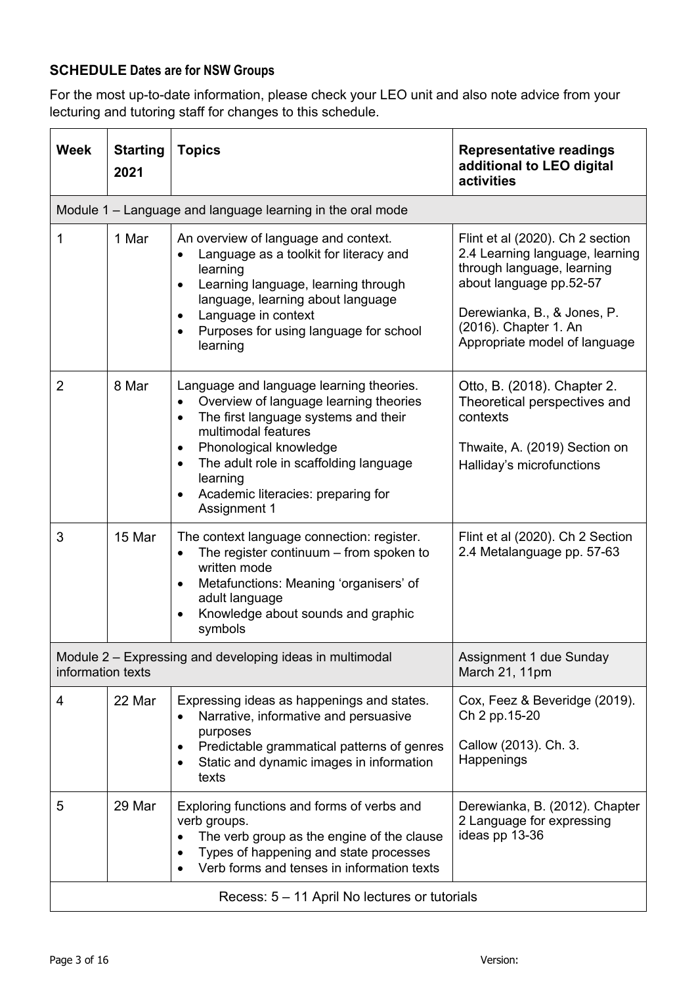# **SCHEDULE Dates are for NSW Groups**

For the most up-to-date information, please check your LEO unit and also note advice from your lecturing and tutoring staff for changes to this schedule.

| <b>Week</b>                                   | <b>Starting</b><br>2021 | <b>Topics</b>                                                                                                                                                                                                                                                                                                                               | <b>Representative readings</b><br>additional to LEO digital<br>activities                                                                                                                                             |  |
|-----------------------------------------------|-------------------------|---------------------------------------------------------------------------------------------------------------------------------------------------------------------------------------------------------------------------------------------------------------------------------------------------------------------------------------------|-----------------------------------------------------------------------------------------------------------------------------------------------------------------------------------------------------------------------|--|
|                                               |                         | Module 1 – Language and language learning in the oral mode                                                                                                                                                                                                                                                                                  |                                                                                                                                                                                                                       |  |
| 1                                             | 1 Mar                   | An overview of language and context.<br>Language as a toolkit for literacy and<br>learning<br>Learning language, learning through<br>$\bullet$<br>language, learning about language<br>Language in context<br>$\bullet$<br>Purposes for using language for school<br>learning                                                               | Flint et al (2020). Ch 2 section<br>2.4 Learning language, learning<br>through language, learning<br>about language pp.52-57<br>Derewianka, B., & Jones, P.<br>(2016). Chapter 1. An<br>Appropriate model of language |  |
| 2                                             | 8 Mar                   | Language and language learning theories.<br>Overview of language learning theories<br>$\bullet$<br>The first language systems and their<br>$\bullet$<br>multimodal features<br>Phonological knowledge<br>$\bullet$<br>The adult role in scaffolding language<br>$\bullet$<br>learning<br>Academic literacies: preparing for<br>Assignment 1 | Otto, B. (2018). Chapter 2.<br>Theoretical perspectives and<br>contexts<br>Thwaite, A. (2019) Section on<br>Halliday's microfunctions                                                                                 |  |
| 3                                             | 15 Mar                  | The context language connection: register.<br>The register continuum $-$ from spoken to<br>$\bullet$<br>written mode<br>Metafunctions: Meaning 'organisers' of<br>$\bullet$<br>adult language<br>Knowledge about sounds and graphic<br>symbols                                                                                              | Flint et al (2020). Ch 2 Section<br>2.4 Metalanguage pp. 57-63                                                                                                                                                        |  |
| information texts                             |                         | Module 2 - Expressing and developing ideas in multimodal                                                                                                                                                                                                                                                                                    | Assignment 1 due Sunday<br>March 21, 11pm                                                                                                                                                                             |  |
| 4                                             | 22 Mar                  | Expressing ideas as happenings and states.<br>Narrative, informative and persuasive<br>$\bullet$<br>purposes<br>Predictable grammatical patterns of genres<br>Static and dynamic images in information<br>$\bullet$<br>texts                                                                                                                | Cox, Feez & Beveridge (2019).<br>Ch 2 pp.15-20<br>Callow (2013). Ch. 3.<br>Happenings                                                                                                                                 |  |
| 5                                             | 29 Mar                  | Exploring functions and forms of verbs and<br>verb groups.<br>The verb group as the engine of the clause<br>$\bullet$<br>Types of happening and state processes<br>$\bullet$<br>Verb forms and tenses in information texts                                                                                                                  | Derewianka, B. (2012). Chapter<br>2 Language for expressing<br>ideas pp 13-36                                                                                                                                         |  |
| Recess: 5 - 11 April No lectures or tutorials |                         |                                                                                                                                                                                                                                                                                                                                             |                                                                                                                                                                                                                       |  |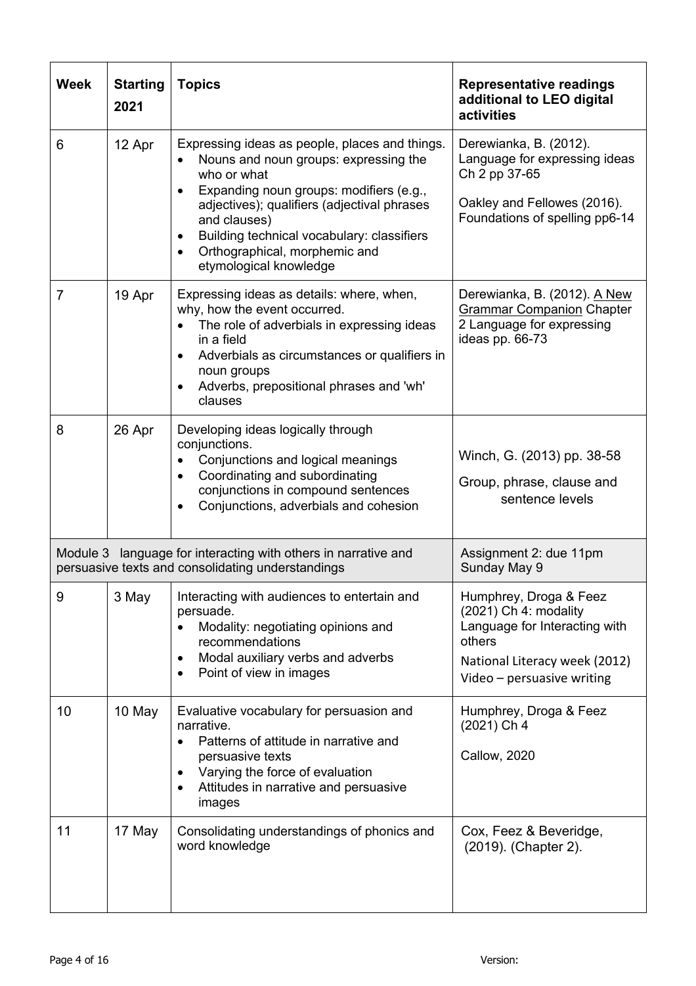| <b>Week</b>    | <b>Starting</b><br>2021 | <b>Topics</b>                                                                                                                                                                                                                                                                                                             | <b>Representative readings</b><br>additional to LEO digital<br>activities                                                                                 |
|----------------|-------------------------|---------------------------------------------------------------------------------------------------------------------------------------------------------------------------------------------------------------------------------------------------------------------------------------------------------------------------|-----------------------------------------------------------------------------------------------------------------------------------------------------------|
| 6              | 12 Apr                  | Expressing ideas as people, places and things.<br>Nouns and noun groups: expressing the<br>who or what<br>Expanding noun groups: modifiers (e.g.,<br>adjectives); qualifiers (adjectival phrases<br>and clauses)<br>Building technical vocabulary: classifiers<br>Orthographical, morphemic and<br>etymological knowledge | Derewianka, B. (2012).<br>Language for expressing ideas<br>Ch 2 pp 37-65<br>Oakley and Fellowes (2016).<br>Foundations of spelling pp6-14                 |
| $\overline{7}$ | 19 Apr                  | Expressing ideas as details: where, when,<br>why, how the event occurred.<br>The role of adverbials in expressing ideas<br>in a field<br>Adverbials as circumstances or qualifiers in<br>$\bullet$<br>noun groups<br>Adverbs, prepositional phrases and 'wh'<br>clauses                                                   | Derewianka, B. (2012). A New<br><b>Grammar Companion Chapter</b><br>2 Language for expressing<br>ideas pp. 66-73                                          |
| 8              | 26 Apr                  | Developing ideas logically through<br>conjunctions.<br>Conjunctions and logical meanings<br>$\bullet$<br>Coordinating and subordinating<br>conjunctions in compound sentences<br>Conjunctions, adverbials and cohesion                                                                                                    | Winch, G. (2013) pp. 38-58<br>Group, phrase, clause and<br>sentence levels                                                                                |
|                |                         | Module 3 language for interacting with others in narrative and<br>persuasive texts and consolidating understandings                                                                                                                                                                                                       | Assignment 2: due 11pm<br>Sunday May 9                                                                                                                    |
| 9              | 3 May                   | Interacting with audiences to entertain and<br>persuade.<br>Modality: negotiating opinions and<br>$\bullet$<br>recommendations<br>Modal auxiliary verbs and adverbs<br>Point of view in images                                                                                                                            | Humphrey, Droga & Feez<br>(2021) Ch 4: modality<br>Language for Interacting with<br>others<br>National Literacy week (2012)<br>Video - persuasive writing |
| 10             | 10 May                  | Evaluative vocabulary for persuasion and<br>narrative.<br>Patterns of attitude in narrative and<br>$\bullet$<br>persuasive texts<br>Varying the force of evaluation<br>Attitudes in narrative and persuasive<br>images                                                                                                    | Humphrey, Droga & Feez<br>(2021) Ch 4<br><b>Callow, 2020</b>                                                                                              |
| 11             | 17 May                  | Consolidating understandings of phonics and<br>word knowledge                                                                                                                                                                                                                                                             | Cox, Feez & Beveridge,<br>(2019). (Chapter 2).                                                                                                            |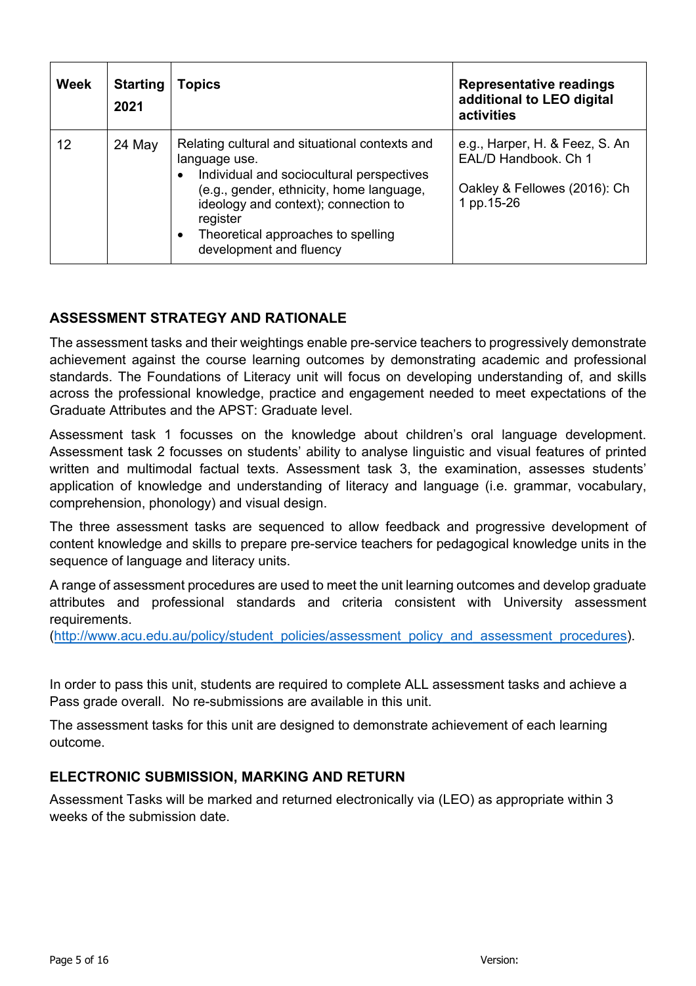| <b>Week</b> | <b>Starting</b><br>2021 | Topics                                                                                                                                                                                                                                                                                                  | <b>Representative readings</b><br>additional to LEO digital<br>activities                            |
|-------------|-------------------------|---------------------------------------------------------------------------------------------------------------------------------------------------------------------------------------------------------------------------------------------------------------------------------------------------------|------------------------------------------------------------------------------------------------------|
| 12          | 24 May                  | Relating cultural and situational contexts and<br>language use.<br>Individual and sociocultural perspectives<br>$\bullet$<br>(e.g., gender, ethnicity, home language,<br>ideology and context); connection to<br>register<br>Theoretical approaches to spelling<br>$\bullet$<br>development and fluency | e.g., Harper, H. & Feez, S. An<br>EAL/D Handbook, Ch 1<br>Oakley & Fellowes (2016): Ch<br>1 pp.15-26 |

# **ASSESSMENT STRATEGY AND RATIONALE**

The assessment tasks and their weightings enable pre-service teachers to progressively demonstrate achievement against the course learning outcomes by demonstrating academic and professional standards. The Foundations of Literacy unit will focus on developing understanding of, and skills across the professional knowledge, practice and engagement needed to meet expectations of the Graduate Attributes and the APST: Graduate level.

Assessment task 1 focusses on the knowledge about children's oral language development. Assessment task 2 focusses on students' ability to analyse linguistic and visual features of printed written and multimodal factual texts. Assessment task 3, the examination, assesses students' application of knowledge and understanding of literacy and language (i.e. grammar, vocabulary, comprehension, phonology) and visual design.

The three assessment tasks are sequenced to allow feedback and progressive development of content knowledge and skills to prepare pre-service teachers for pedagogical knowledge units in the sequence of language and literacy units.

A range of assessment procedures are used to meet the unit learning outcomes and develop graduate attributes and professional standards and criteria consistent with University assessment requirements.

(http://www.acu.edu.au/policy/student\_policies/assessment\_policy\_and\_assessment\_procedures).

In order to pass this unit, students are required to complete ALL assessment tasks and achieve a Pass grade overall. No re-submissions are available in this unit.

The assessment tasks for this unit are designed to demonstrate achievement of each learning outcome.

#### **ELECTRONIC SUBMISSION, MARKING AND RETURN**

Assessment Tasks will be marked and returned electronically via (LEO) as appropriate within 3 weeks of the submission date.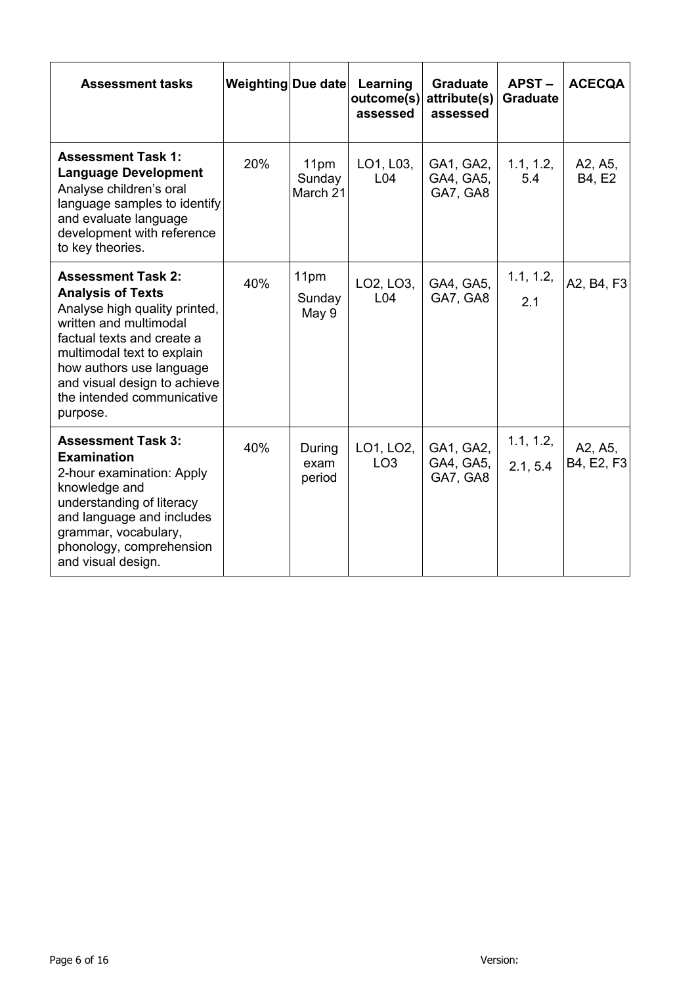| <b>Assessment tasks</b>                                                                                                                                                                                                                                                            | Weighting Due date |                            | Learning<br>outcome(s)<br>assessed | <b>Graduate</b><br>attribute(s)<br>assessed | $APST -$<br><b>Graduate</b> | <b>ACECQA</b>         |
|------------------------------------------------------------------------------------------------------------------------------------------------------------------------------------------------------------------------------------------------------------------------------------|--------------------|----------------------------|------------------------------------|---------------------------------------------|-----------------------------|-----------------------|
| <b>Assessment Task 1:</b><br><b>Language Development</b><br>Analyse children's oral<br>language samples to identify<br>and evaluate language<br>development with reference<br>to key theories.                                                                                     | 20%                | 11pm<br>Sunday<br>March 21 | LO1, L03,<br>L04                   | GA1, GA2,<br>GA4, GA5,<br>GA7, GA8          | 1.1, 1.2,<br>5.4            | A2, A5,<br>B4, E2     |
| <b>Assessment Task 2:</b><br><b>Analysis of Texts</b><br>Analyse high quality printed,<br>written and multimodal<br>factual texts and create a<br>multimodal text to explain<br>how authors use language<br>and visual design to achieve<br>the intended communicative<br>purpose. | 40%                | 11pm<br>Sunday<br>May 9    | LO2, LO3,<br>L <sub>04</sub>       | GA4, GA5,<br>GA7, GA8                       | 1.1, 1.2,<br>2.1            | A2, B4, F3            |
| <b>Assessment Task 3:</b><br><b>Examination</b><br>2-hour examination: Apply<br>knowledge and<br>understanding of literacy<br>and language and includes<br>grammar, vocabulary,<br>phonology, comprehension<br>and visual design.                                                  | 40%                | During<br>exam<br>period   | LO1, LO2,<br>LO <sub>3</sub>       | GA1, GA2,<br>GA4, GA5,<br>GA7, GA8          | 1.1, 1.2,<br>2.1, 5.4       | A2, A5,<br>B4, E2, F3 |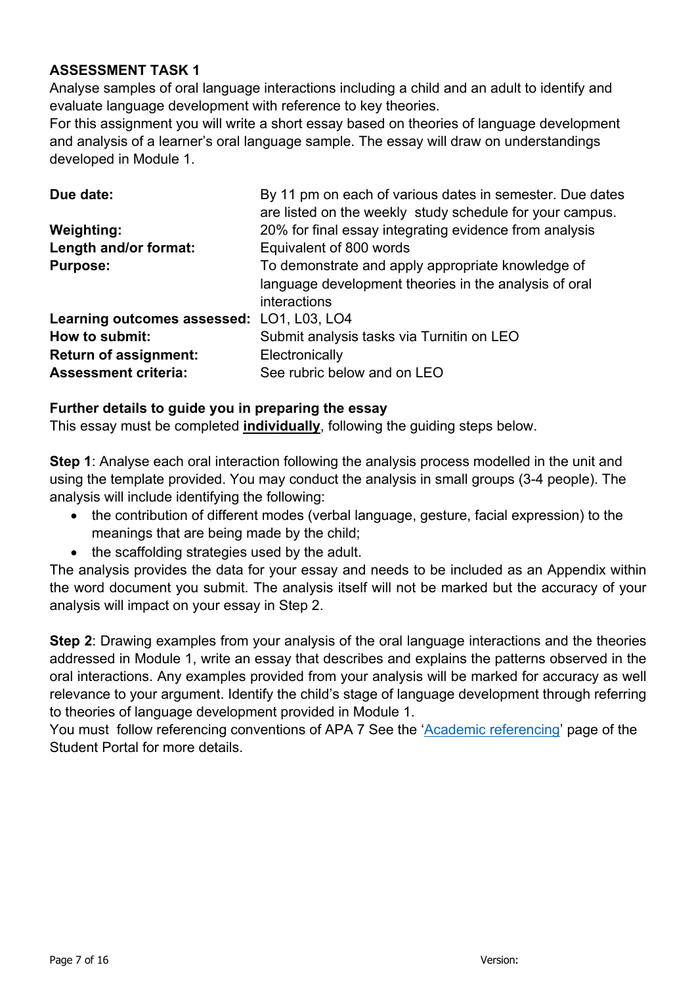## **ASSESSMENT TASK 1**

Analyse samples of oral language interactions including a child and an adult to identify and evaluate language development with reference to key theories.

For this assignment you will write a short essay based on theories of language development and analysis of a learner's oral language sample. The essay will draw on understandings developed in Module 1.

| Due date:                                 | By 11 pm on each of various dates in semester. Due dates |
|-------------------------------------------|----------------------------------------------------------|
|                                           | are listed on the weekly study schedule for your campus. |
| <b>Weighting:</b>                         | 20% for final essay integrating evidence from analysis   |
| Length and/or format:                     | Equivalent of 800 words                                  |
| <b>Purpose:</b>                           | To demonstrate and apply appropriate knowledge of        |
|                                           | language development theories in the analysis of oral    |
|                                           | interactions                                             |
| Learning outcomes assessed: LO1, L03, LO4 |                                                          |
| How to submit:                            | Submit analysis tasks via Turnitin on LEO                |
| <b>Return of assignment:</b>              | Electronically                                           |
| <b>Assessment criteria:</b>               | See rubric below and on LEO                              |

# **Further details to guide you in preparing the essay**

This essay must be completed **individually**, following the guiding steps below.

**Step 1**: Analyse each oral interaction following the analysis process modelled in the unit and using the template provided. You may conduct the analysis in small groups (3-4 people). The analysis will include identifying the following:

- the contribution of different modes (verbal language, gesture, facial expression) to the meanings that are being made by the child;
- the scaffolding strategies used by the adult.

The analysis provides the data for your essay and needs to be included as an Appendix within the word document you submit. The analysis itself will not be marked but the accuracy of your analysis will impact on your essay in Step 2.

**Step 2**: Drawing examples from your analysis of the oral language interactions and the theories addressed in Module 1, write an essay that describes and explains the patterns observed in the oral interactions. Any examples provided from your analysis will be marked for accuracy as well relevance to your argument. Identify the child's stage of language development through referring to theories of language development provided in Module 1.

You must follow referencing conventions of APA 7 See the 'Academic referencing' page of the Student Portal for more details.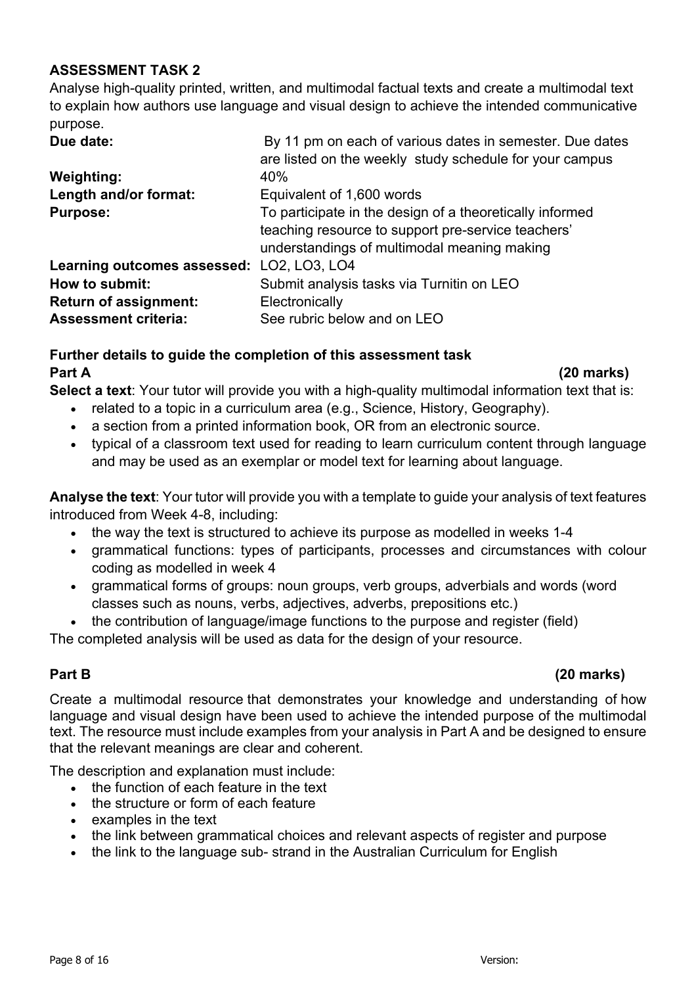## **ASSESSMENT TASK 2**

Analyse high-quality printed, written, and multimodal factual texts and create a multimodal text to explain how authors use language and visual design to achieve the intended communicative purpose.

| Due date:                                 | By 11 pm on each of various dates in semester. Due dates |
|-------------------------------------------|----------------------------------------------------------|
|                                           | are listed on the weekly study schedule for your campus  |
| <b>Weighting:</b>                         | 40%                                                      |
| Length and/or format:                     | Equivalent of 1,600 words                                |
| <b>Purpose:</b>                           | To participate in the design of a theoretically informed |
|                                           | teaching resource to support pre-service teachers'       |
|                                           | understandings of multimodal meaning making              |
| Learning outcomes assessed: LO2, LO3, LO4 |                                                          |
| How to submit:                            | Submit analysis tasks via Turnitin on LEO                |
| <b>Return of assignment:</b>              | Electronically                                           |
| <b>Assessment criteria:</b>               | See rubric below and on LEO                              |

## **Further details to guide the completion of this assessment task Part A (20 marks)**

**Select a text**: Your tutor will provide you with a high-quality multimodal information text that is:

- related to a topic in a curriculum area (e.g., Science, History, Geography).
- a section from a printed information book, OR from an electronic source.
- typical of a classroom text used for reading to learn curriculum content through language and may be used as an exemplar or model text for learning about language.

**Analyse the text**: Your tutor will provide you with a template to guide your analysis of text features introduced from Week 4-8, including:

- the way the text is structured to achieve its purpose as modelled in weeks 1-4
- grammatical functions: types of participants, processes and circumstances with colour coding as modelled in week 4
- grammatical forms of groups: noun groups, verb groups, adverbials and words (word classes such as nouns, verbs, adjectives, adverbs, prepositions etc.)
- the contribution of language/image functions to the purpose and register (field)

The completed analysis will be used as data for the design of your resource.

## **Part B (20 marks)**

Create a multimodal resource that demonstrates your knowledge and understanding of how language and visual design have been used to achieve the intended purpose of the multimodal text. The resource must include examples from your analysis in Part A and be designed to ensure that the relevant meanings are clear and coherent.

The description and explanation must include:

- the function of each feature in the text
- the structure or form of each feature
- examples in the text
- the link between grammatical choices and relevant aspects of register and purpose
- the link to the language sub-strand in the Australian Curriculum for English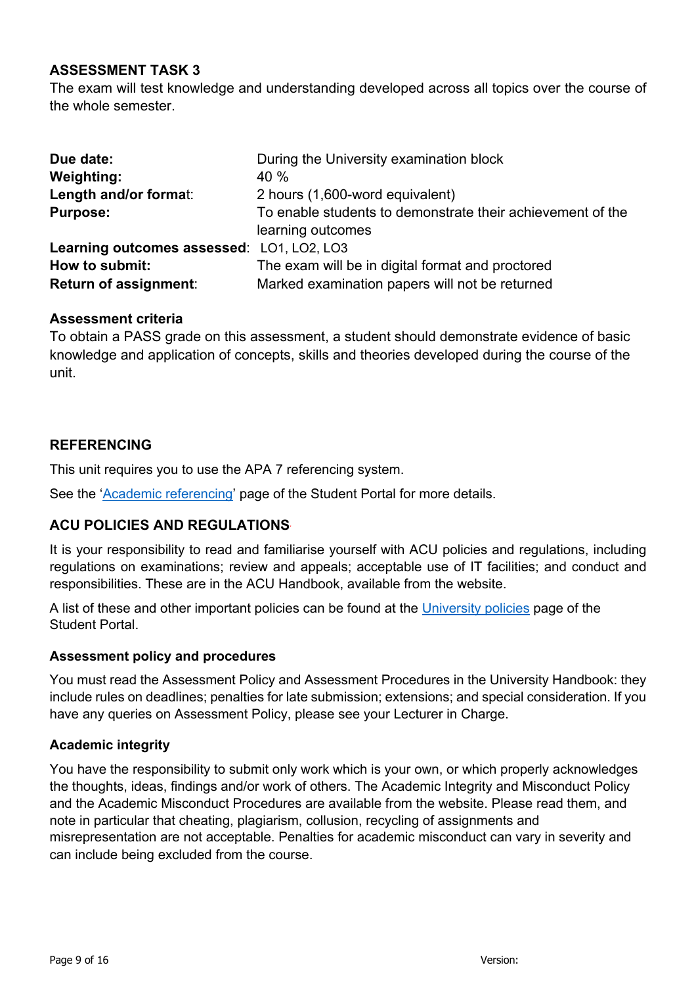## **ASSESSMENT TASK 3**

The exam will test knowledge and understanding developed across all topics over the course of the whole semester.

| Due date:                                 | During the University examination block                    |
|-------------------------------------------|------------------------------------------------------------|
| <b>Weighting:</b>                         | 40%                                                        |
| Length and/or format:                     | 2 hours (1,600-word equivalent)                            |
| <b>Purpose:</b>                           | To enable students to demonstrate their achievement of the |
|                                           | learning outcomes                                          |
| Learning outcomes assessed: LO1, LO2, LO3 |                                                            |
| How to submit:                            | The exam will be in digital format and proctored           |
| <b>Return of assignment:</b>              | Marked examination papers will not be returned             |

#### **Assessment criteria**

To obtain a PASS grade on this assessment, a student should demonstrate evidence of basic knowledge and application of concepts, skills and theories developed during the course of the unit.

#### **REFERENCING**

This unit requires you to use the APA 7 referencing system.

See the 'Academic referencing' page of the Student Portal for more details.

#### **ACU POLICIES AND REGULATIONS***.*

It is your responsibility to read and familiarise yourself with ACU policies and regulations, including regulations on examinations; review and appeals; acceptable use of IT facilities; and conduct and responsibilities. These are in the ACU Handbook, available from the website.

A list of these and other important policies can be found at the University policies page of the Student Portal.

#### **Assessment policy and procedures**

You must read the Assessment Policy and Assessment Procedures in the University Handbook: they include rules on deadlines; penalties for late submission; extensions; and special consideration. If you have any queries on Assessment Policy, please see your Lecturer in Charge.

#### **Academic integrity**

You have the responsibility to submit only work which is your own, or which properly acknowledges the thoughts, ideas, findings and/or work of others. The Academic Integrity and Misconduct Policy and the Academic Misconduct Procedures are available from the website. Please read them, and note in particular that cheating, plagiarism, collusion, recycling of assignments and misrepresentation are not acceptable. Penalties for academic misconduct can vary in severity and can include being excluded from the course.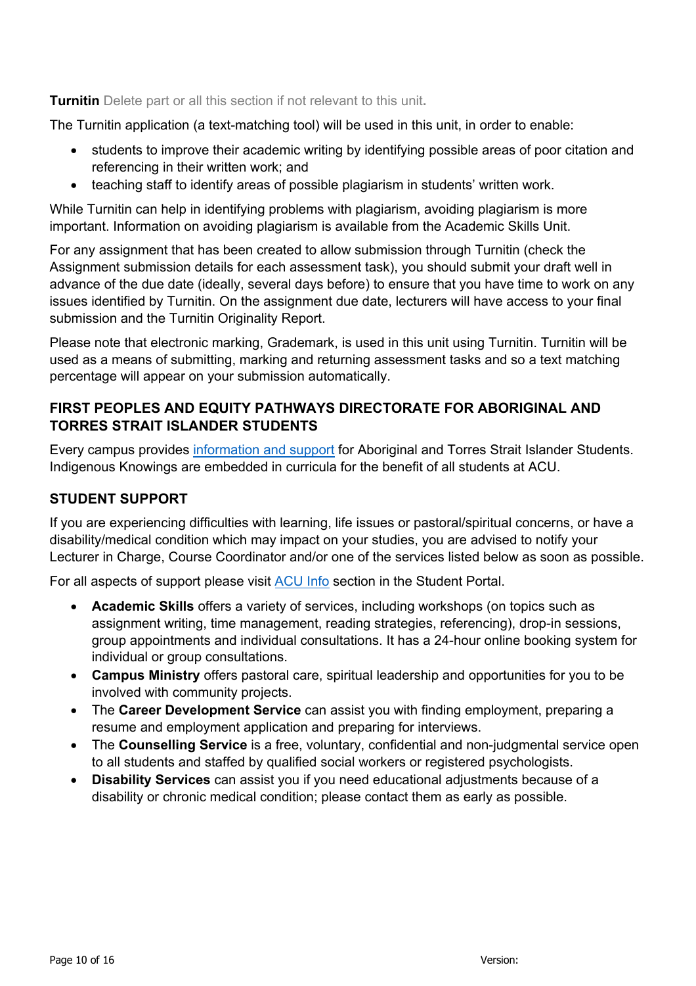**Turnitin** Delete part or all this section if not relevant to this unit**.**

The Turnitin application (a text-matching tool) will be used in this unit, in order to enable:

- students to improve their academic writing by identifying possible areas of poor citation and referencing in their written work; and
- teaching staff to identify areas of possible plagiarism in students' written work.

While Turnitin can help in identifying problems with plagiarism, avoiding plagiarism is more important. Information on avoiding plagiarism is available from the Academic Skills Unit.

For any assignment that has been created to allow submission through Turnitin (check the Assignment submission details for each assessment task), you should submit your draft well in advance of the due date (ideally, several days before) to ensure that you have time to work on any issues identified by Turnitin. On the assignment due date, lecturers will have access to your final submission and the Turnitin Originality Report.

Please note that electronic marking, Grademark, is used in this unit using Turnitin. Turnitin will be used as a means of submitting, marking and returning assessment tasks and so a text matching percentage will appear on your submission automatically.

## **FIRST PEOPLES AND EQUITY PATHWAYS DIRECTORATE FOR ABORIGINAL AND TORRES STRAIT ISLANDER STUDENTS**

Every campus provides information and support for Aboriginal and Torres Strait Islander Students. Indigenous Knowings are embedded in curricula for the benefit of all students at ACU.

# **STUDENT SUPPORT**

If you are experiencing difficulties with learning, life issues or pastoral/spiritual concerns, or have a disability/medical condition which may impact on your studies, you are advised to notify your Lecturer in Charge, Course Coordinator and/or one of the services listed below as soon as possible.

For all aspects of support please visit ACU Info section in the Student Portal.

- **Academic Skills** offers a variety of services, including workshops (on topics such as assignment writing, time management, reading strategies, referencing), drop-in sessions, group appointments and individual consultations. It has a 24-hour online booking system for individual or group consultations.
- **Campus Ministry** offers pastoral care, spiritual leadership and opportunities for you to be involved with community projects.
- The **Career Development Service** can assist you with finding employment, preparing a resume and employment application and preparing for interviews.
- The **Counselling Service** is a free, voluntary, confidential and non-judgmental service open to all students and staffed by qualified social workers or registered psychologists.
- **Disability Services** can assist you if you need educational adjustments because of a disability or chronic medical condition; please contact them as early as possible.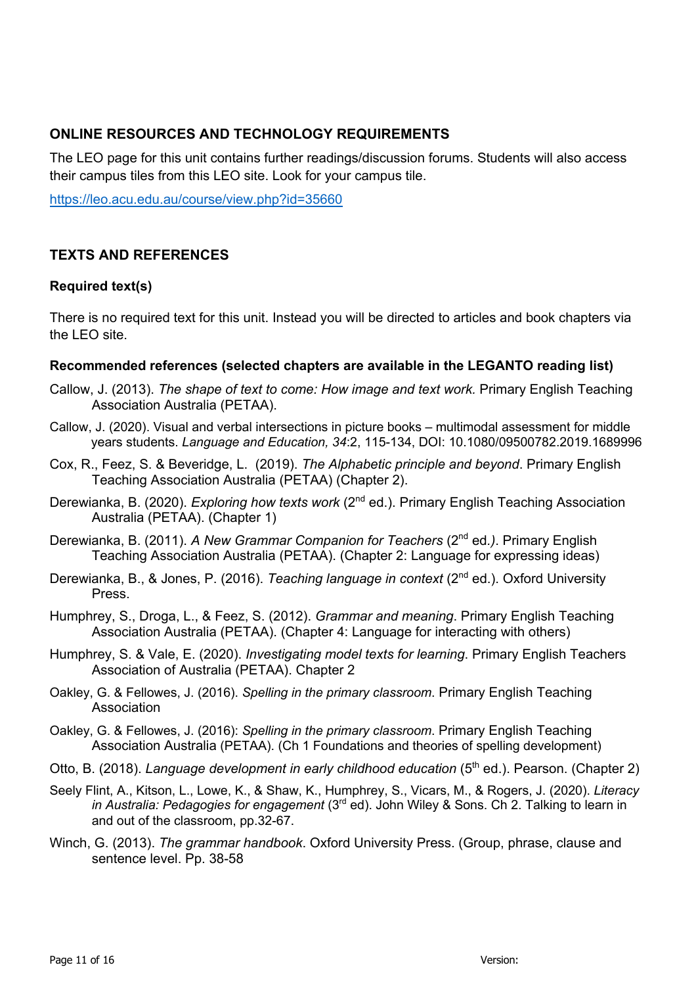## **ONLINE RESOURCES AND TECHNOLOGY REQUIREMENTS**

The LEO page for this unit contains further readings/discussion forums. Students will also access their campus tiles from this LEO site. Look for your campus tile.

https://leo.acu.edu.au/course/view.php?id=35660

## **TEXTS AND REFERENCES**

#### **Required text(s)**

There is no required text for this unit. Instead you will be directed to articles and book chapters via the LEO site.

#### **Recommended references (selected chapters are available in the LEGANTO reading list)**

- Callow, J. (2013). *The shape of text to come: How image and text work.* Primary English Teaching Association Australia (PETAA).
- Callow, J. (2020). Visual and verbal intersections in picture books multimodal assessment for middle years students. *Language and Education, 34*:2, 115-134, DOI: 10.1080/09500782.2019.1689996
- Cox, R., Feez, S. & Beveridge, L. (2019). *The Alphabetic principle and beyond*. Primary English Teaching Association Australia (PETAA) (Chapter 2).
- Derewianka, B. (2020). *Exploring how texts work* (2nd ed.). Primary English Teaching Association Australia (PETAA). (Chapter 1)
- Derewianka, B. (2011). *A New Grammar Companion for Teachers* (2nd ed*.)*. Primary English Teaching Association Australia (PETAA). (Chapter 2: Language for expressing ideas)
- Derewianka, B., & Jones, P. (2016). *Teaching language in context* (2nd ed.). Oxford University Press.
- Humphrey, S., Droga, L., & Feez, S. (2012). *Grammar and meaning*. Primary English Teaching Association Australia (PETAA). (Chapter 4: Language for interacting with others)
- Humphrey, S. & Vale, E. (2020). *Investigating model texts for learning*. Primary English Teachers Association of Australia (PETAA). Chapter 2
- Oakley, G. & Fellowes, J. (2016). *Spelling in the primary classroom*. Primary English Teaching Association
- Oakley, G. & Fellowes, J. (2016): *Spelling in the primary classroom*. Primary English Teaching Association Australia (PETAA). (Ch 1 Foundations and theories of spelling development)
- Otto, B. (2018). *Language development in early childhood education* (5<sup>th</sup> ed.). Pearson. (Chapter 2)
- Seely Flint, A., Kitson, L., Lowe, K., & Shaw, K., Humphrey, S., Vicars, M., & Rogers, J. (2020). *Literacy in Australia: Pedagogies for engagement* (3rd ed). John Wiley & Sons. Ch 2. Talking to learn in and out of the classroom, pp.32-67.
- Winch, G. (2013). *The grammar handbook*. Oxford University Press. (Group, phrase, clause and sentence level. Pp. 38-58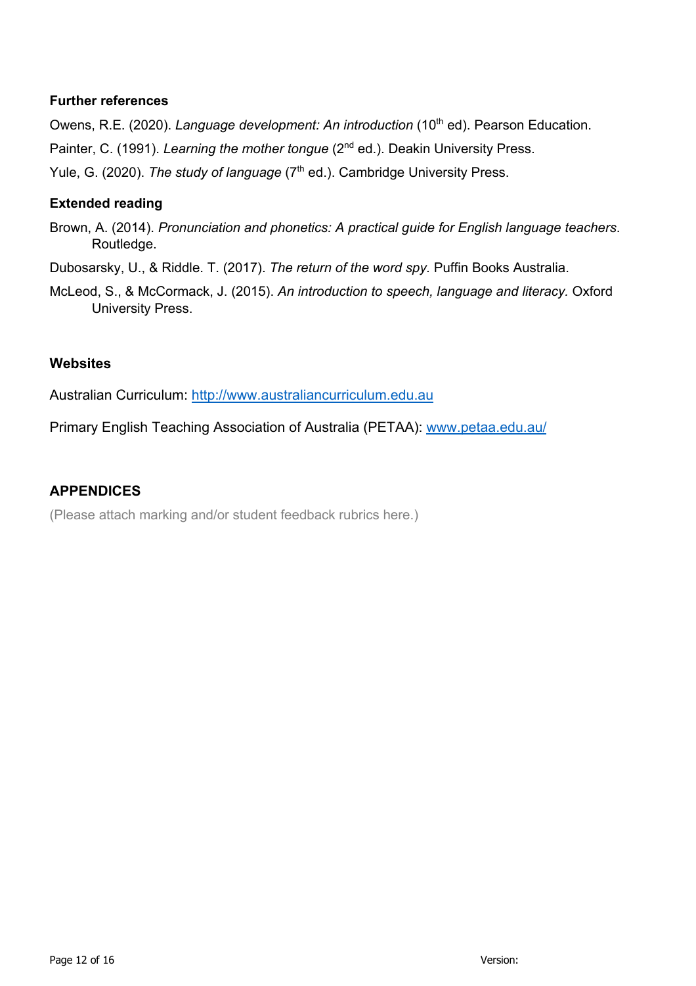#### **Further references**

Owens, R.E. (2020). *Language development: An introduction* (10<sup>th</sup> ed). Pearson Education.

Painter, C. (1991). *Learning the mother tongue* (2<sup>nd</sup> ed.). Deakin University Press.

Yule, G. (2020). *The study of language* (7<sup>th</sup> ed.). Cambridge University Press.

## **Extended reading**

- Brown, A. (2014). *Pronunciation and phonetics: A practical guide for English language teachers*. Routledge.
- Dubosarsky, U., & Riddle. T. (2017). *The return of the word spy.* Puffin Books Australia.
- McLeod, S., & McCormack, J. (2015). *An introduction to speech, language and literacy.* Oxford University Press.

## **Websites**

Australian Curriculum: http://www.australiancurriculum.edu.au

Primary English Teaching Association of Australia (PETAA): www.petaa.edu.au/

## **APPENDICES**

(Please attach marking and/or student feedback rubrics here.)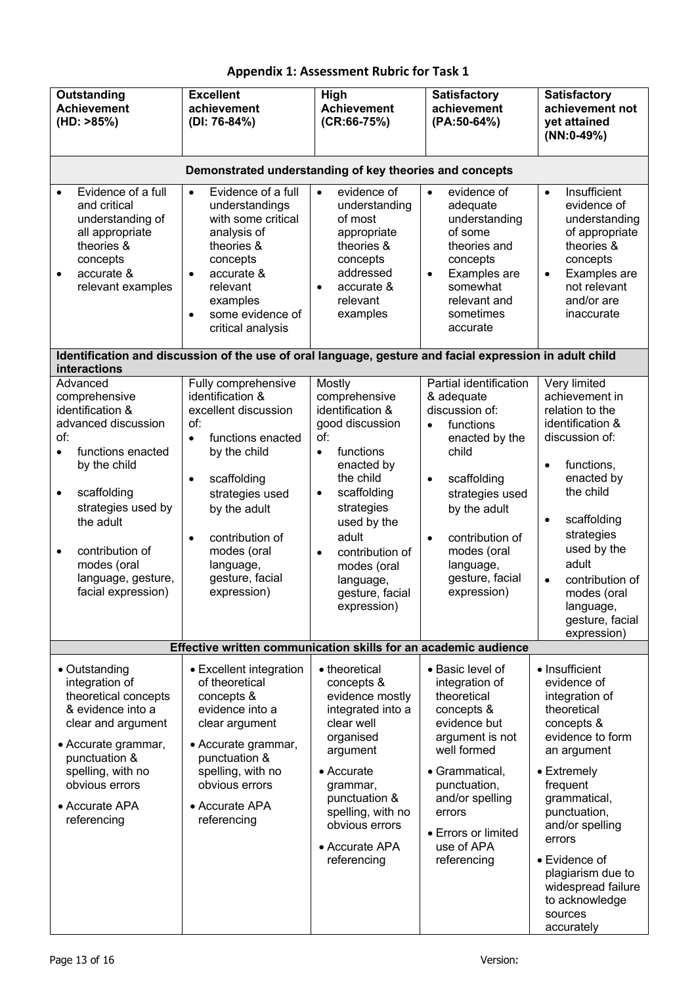| Outstanding<br><b>Achievement</b><br>(HD: >85%)                                                                                                                                                                                                                                         | <b>Excellent</b><br>achievement<br>(DI: 76-84%)                                                                                                                                                                                                                                       | High<br><b>Achievement</b><br>$(CR:66-75%)$                                                                                                                                                                                                                                                | <b>Satisfactory</b><br>achievement<br>(PA:50-64%)                                                                                                                                                                                                                        | <b>Satisfactory</b><br>achievement not<br>yet attained<br>$(NN:0-49%)$                                                                                                                                                                                                                                         |
|-----------------------------------------------------------------------------------------------------------------------------------------------------------------------------------------------------------------------------------------------------------------------------------------|---------------------------------------------------------------------------------------------------------------------------------------------------------------------------------------------------------------------------------------------------------------------------------------|--------------------------------------------------------------------------------------------------------------------------------------------------------------------------------------------------------------------------------------------------------------------------------------------|--------------------------------------------------------------------------------------------------------------------------------------------------------------------------------------------------------------------------------------------------------------------------|----------------------------------------------------------------------------------------------------------------------------------------------------------------------------------------------------------------------------------------------------------------------------------------------------------------|
|                                                                                                                                                                                                                                                                                         | Demonstrated understanding of key theories and concepts                                                                                                                                                                                                                               |                                                                                                                                                                                                                                                                                            |                                                                                                                                                                                                                                                                          |                                                                                                                                                                                                                                                                                                                |
| Evidence of a full<br>$\bullet$<br>and critical<br>understanding of<br>all appropriate<br>theories &<br>concepts<br>accurate &<br>$\bullet$<br>relevant examples                                                                                                                        | Evidence of a full<br>$\bullet$<br>understandings<br>with some critical<br>analysis of<br>theories &<br>concepts<br>accurate &<br>relevant<br>examples<br>some evidence of<br>$\bullet$<br>critical analysis                                                                          | evidence of<br>$\bullet$<br>understanding<br>of most<br>appropriate<br>theories &<br>concepts<br>addressed<br>accurate &<br>$\bullet$<br>relevant<br>examples                                                                                                                              | evidence of<br>$\bullet$<br>adequate<br>understanding<br>of some<br>theories and<br>concepts<br>Examples are<br>$\bullet$<br>somewhat<br>relevant and<br>sometimes<br>accurate                                                                                           | Insufficient<br>$\bullet$<br>evidence of<br>understanding<br>of appropriate<br>theories &<br>concepts<br>Examples are<br>$\bullet$<br>not relevant<br>and/or are<br>inaccurate                                                                                                                                 |
| interactions                                                                                                                                                                                                                                                                            | Identification and discussion of the use of oral language, gesture and facial expression in adult child                                                                                                                                                                               |                                                                                                                                                                                                                                                                                            |                                                                                                                                                                                                                                                                          |                                                                                                                                                                                                                                                                                                                |
| Advanced<br>comprehensive<br>identification &<br>advanced discussion<br>of:<br>functions enacted<br>$\bullet$<br>by the child<br>scaffolding<br>$\bullet$<br>strategies used by<br>the adult<br>contribution of<br>$\bullet$<br>modes (oral<br>language, gesture,<br>facial expression) | Fully comprehensive<br>identification &<br>excellent discussion<br>of:<br>functions enacted<br>$\bullet$<br>by the child<br>scaffolding<br>$\bullet$<br>strategies used<br>by the adult<br>contribution of<br>$\bullet$<br>modes (oral<br>language,<br>gesture, facial<br>expression) | Mostly<br>comprehensive<br>identification &<br>good discussion<br>of:<br>functions<br>$\bullet$<br>enacted by<br>the child<br>scaffolding<br>$\bullet$<br>strategies<br>used by the<br>adult<br>contribution of<br>$\bullet$<br>modes (oral<br>language,<br>gesture, facial<br>expression) | Partial identification<br>& adequate<br>discussion of:<br>functions<br>$\bullet$<br>enacted by the<br>child<br>scaffolding<br>$\bullet$<br>strategies used<br>by the adult<br>contribution of<br>$\bullet$<br>modes (oral<br>language,<br>gesture, facial<br>expression) | Very limited<br>achievement in<br>relation to the<br>identification &<br>discussion of:<br>functions,<br>$\bullet$<br>enacted by<br>the child<br>scaffolding<br>$\bullet$<br>strategies<br>used by the<br>adult<br>contribution of<br>$\bullet$<br>modes (oral<br>language,<br>gesture, facial<br>expression)  |
|                                                                                                                                                                                                                                                                                         | Effective written communication skills for an academic audience                                                                                                                                                                                                                       |                                                                                                                                                                                                                                                                                            |                                                                                                                                                                                                                                                                          |                                                                                                                                                                                                                                                                                                                |
| • Outstanding<br>integration of<br>theoretical concepts<br>& evidence into a<br>clear and argument<br>• Accurate grammar,<br>punctuation &<br>spelling, with no<br>obvious errors<br>• Accurate APA<br>referencing                                                                      | • Excellent integration<br>of theoretical<br>concepts &<br>evidence into a<br>clear argument<br>• Accurate grammar,<br>punctuation &<br>spelling, with no<br>obvious errors<br>• Accurate APA<br>referencing                                                                          | • theoretical<br>concepts &<br>evidence mostly<br>integrated into a<br>clear well<br>organised<br>argument<br>• Accurate<br>grammar,<br>punctuation &<br>spelling, with no<br>obvious errors<br>• Accurate APA<br>referencing                                                              | • Basic level of<br>integration of<br>theoretical<br>concepts &<br>evidence but<br>argument is not<br>well formed<br>• Grammatical,<br>punctuation,<br>and/or spelling<br>errors<br>• Errors or limited<br>use of APA<br>referencing                                     | • Insufficient<br>evidence of<br>integration of<br>theoretical<br>concepts &<br>evidence to form<br>an argument<br>• Extremely<br>frequent<br>grammatical,<br>punctuation,<br>and/or spelling<br>errors<br>• Evidence of<br>plagiarism due to<br>widespread failure<br>to acknowledge<br>sources<br>accurately |

# **Appendix 1: Assessment Rubric for Task 1**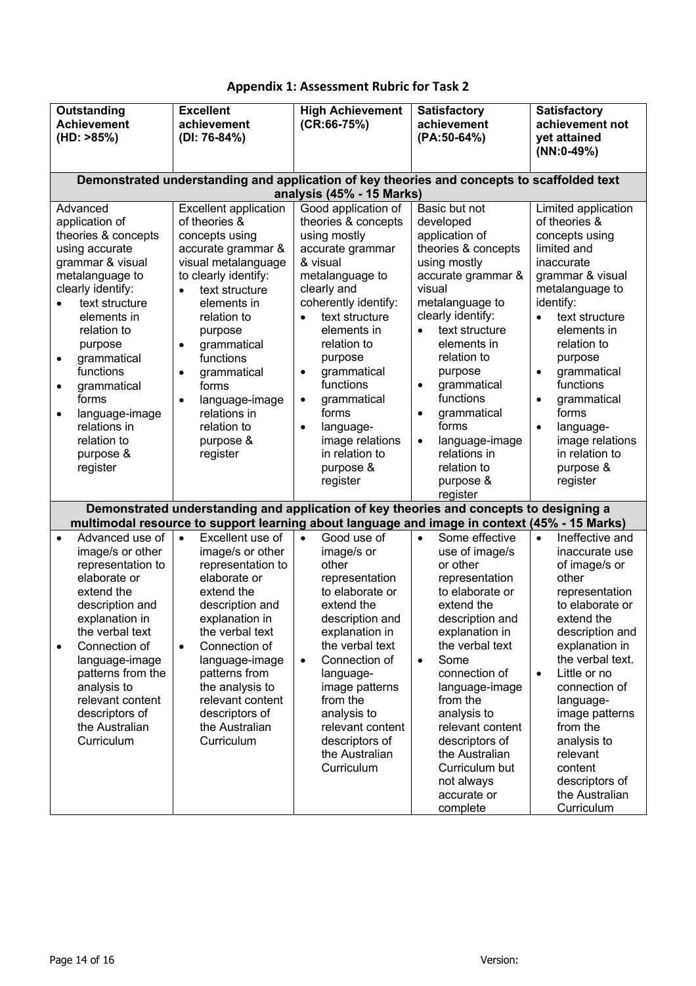| Outstanding<br><b>Achievement</b><br>(HD: >85%)                                                                                                                                                                                                                                                                                                                 | <b>Excellent</b><br>achievement<br>(DI: 76-84%)                                                                                                                                                                                                                                                                                                                                   | <b>High Achievement</b><br>$(CR:66-75%)$                                                                                                                                                                                                                                                                                                                                              | <b>Satisfactory</b><br>achievement<br>(PA:50-64%)                                                                                                                                                                                                                                                                                                                                                        | <b>Satisfactory</b><br>achievement not<br>yet attained<br>$(NN:0-49%)$                                                                                                                                                                                                                                                                                                                |
|-----------------------------------------------------------------------------------------------------------------------------------------------------------------------------------------------------------------------------------------------------------------------------------------------------------------------------------------------------------------|-----------------------------------------------------------------------------------------------------------------------------------------------------------------------------------------------------------------------------------------------------------------------------------------------------------------------------------------------------------------------------------|---------------------------------------------------------------------------------------------------------------------------------------------------------------------------------------------------------------------------------------------------------------------------------------------------------------------------------------------------------------------------------------|----------------------------------------------------------------------------------------------------------------------------------------------------------------------------------------------------------------------------------------------------------------------------------------------------------------------------------------------------------------------------------------------------------|---------------------------------------------------------------------------------------------------------------------------------------------------------------------------------------------------------------------------------------------------------------------------------------------------------------------------------------------------------------------------------------|
|                                                                                                                                                                                                                                                                                                                                                                 | Demonstrated understanding and application of key theories and concepts to scaffolded text                                                                                                                                                                                                                                                                                        | analysis (45% - 15 Marks)                                                                                                                                                                                                                                                                                                                                                             |                                                                                                                                                                                                                                                                                                                                                                                                          |                                                                                                                                                                                                                                                                                                                                                                                       |
| Advanced<br>application of<br>theories & concepts<br>using accurate<br>grammar & visual<br>metalanguage to<br>clearly identify:<br>text structure<br>elements in<br>relation to<br>purpose<br>grammatical<br>$\bullet$<br>functions<br>grammatical<br>$\bullet$<br>forms<br>language-image<br>$\bullet$<br>relations in<br>relation to<br>purpose &<br>register | <b>Excellent application</b><br>of theories &<br>concepts using<br>accurate grammar &<br>visual metalanguage<br>to clearly identify:<br>text structure<br>$\bullet$<br>elements in<br>relation to<br>purpose<br>grammatical<br>$\bullet$<br>functions<br>grammatical<br>$\bullet$<br>forms<br>language-image<br>$\bullet$<br>relations in<br>relation to<br>purpose &<br>register | Good application of<br>theories & concepts<br>using mostly<br>accurate grammar<br>& visual<br>metalanguage to<br>clearly and<br>coherently identify:<br>text structure<br>elements in<br>relation to<br>purpose<br>grammatical<br>$\bullet$<br>functions<br>grammatical<br>$\bullet$<br>forms<br>language-<br>$\bullet$<br>image relations<br>in relation to<br>purpose &<br>register | Basic but not<br>developed<br>application of<br>theories & concepts<br>using mostly<br>accurate grammar &<br>visual<br>metalanguage to<br>clearly identify:<br>text structure<br>$\bullet$<br>elements in<br>relation to<br>purpose<br>grammatical<br>$\bullet$<br>functions<br>grammatical<br>$\bullet$<br>forms<br>language-image<br>$\bullet$<br>relations in<br>relation to<br>purpose &<br>register | Limited application<br>of theories &<br>concepts using<br>limited and<br>inaccurate<br>grammar & visual<br>metalanguage to<br>identify:<br>text structure<br>$\bullet$<br>elements in<br>relation to<br>purpose<br>grammatical<br>$\bullet$<br>functions<br>grammatical<br>$\bullet$<br>forms<br>language-<br>$\bullet$<br>image relations<br>in relation to<br>purpose &<br>register |
|                                                                                                                                                                                                                                                                                                                                                                 | Demonstrated understanding and application of key theories and concepts to designing a<br>multimodal resource to support learning about language and image in context (45% - 15 Marks)                                                                                                                                                                                            |                                                                                                                                                                                                                                                                                                                                                                                       |                                                                                                                                                                                                                                                                                                                                                                                                          |                                                                                                                                                                                                                                                                                                                                                                                       |
| Advanced use of<br>$\bullet$<br>image/s or other<br>representation to<br>elaborate or<br>extend the<br>description and<br>explanation in<br>the verbal text<br>Connection of<br>$\bullet$<br>language-image<br>patterns from the<br>analysis to<br>relevant content<br>descriptors of<br>the Australian<br>Curriculum                                           | Excellent use of<br>$\bullet$<br>image/s or other<br>representation to<br>elaborate or<br>extend the<br>description and<br>explanation in<br>the verbal text<br>Connection of<br>$\bullet$<br>language-image<br>patterns from<br>the analysis to<br>relevant content<br>descriptors of<br>the Australian<br>Curriculum                                                            | Good use of<br>$\bullet$<br>image/s or<br>other<br>representation<br>to elaborate or<br>extend the<br>description and<br>explanation in<br>the verbal text<br>Connection of<br>$\bullet$<br>language-<br>image patterns<br>from the<br>analysis to<br>relevant content<br>descriptors of<br>the Australian<br>Curriculum                                                              | Some effective<br>$\bullet$<br>use of image/s<br>or other<br>representation<br>to elaborate or<br>extend the<br>description and<br>explanation in<br>the verbal text<br>Some<br>$\bullet$<br>connection of<br>language-image<br>from the<br>analysis to<br>relevant content<br>descriptors of<br>the Australian<br>Curriculum but<br>not always<br>accurate or<br>complete                               | Ineffective and<br>$\bullet$<br>inaccurate use<br>of image/s or<br>other<br>representation<br>to elaborate or<br>extend the<br>description and<br>explanation in<br>the verbal text.<br>Little or no<br>$\bullet$<br>connection of<br>language-<br>image patterns<br>from the<br>analysis to<br>relevant<br>content<br>descriptors of<br>the Australian<br>Curriculum                 |

## **Appendix 1: Assessment Rubric for Task 2**